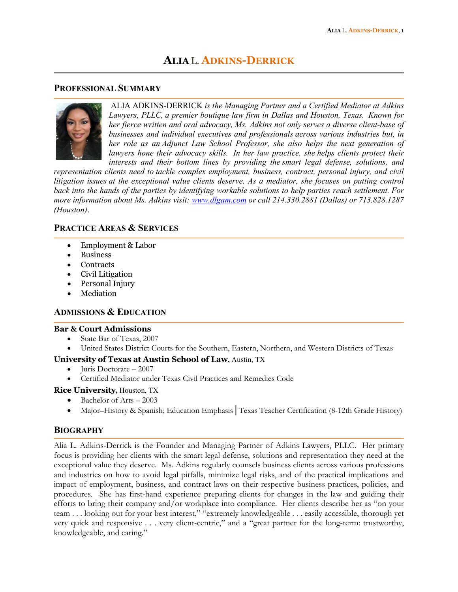# **ALIA** L. **ADKINS-DERRICK**

### **PROFESSIONAL SUMMARY**



ALIA ADKINS-DERRICK *is the Managing Partner and a Certified Mediator at Adkins Lawyers, PLLC, a premier boutique law firm in Dallas and Houston, Texas. Known for her fierce written and oral advocacy, Ms. Adkins not only serves a diverse client-base of businesses and individual executives and professionals across various industries but, in her role as an Adjunct Law School Professor, she also helps the next generation of lawyers hone their advocacy skills. In her law practice, she helps clients protect their interests and their bottom lines by providing the smart legal defense, solutions, and*

*representation clients need to tackle complex employment, business, contract, personal injury, and civil litigation issues at the exceptional value clients deserve. As a mediator, she focuses on putting control* back into the hands of the parties by identifying workable solutions to help parties reach settlement. For *more information about Ms. Adkins visit: [www.dlgam.com](http://www.dlgam.com/) or call 214.330.2881 (Dallas) or 713.828.1287 (Houston)*.

# **PRACTICE AREAS & SERVICES**

- Employment & Labor
- **Business**
- **Contracts**
- Civil Litigation
- Personal Injury
- **Mediation**

# **ADMISSIONS & EDUCATION**

### **Bar & Court Admissions**

- State Bar of Texas, 2007
- United States District Courts for the Southern, Eastern, Northern, and Western Districts of Texas

## **University of Texas at Austin School of Law,** Austin, TX

- Juris Doctorate 2007
- Certified Mediator under Texas Civil Practices and Remedies Code

## **Rice University,** Houston, TX

- Bachelor of Arts 2003
- Major–History & Spanish; Education Emphasis│Texas Teacher Certification (8-12th Grade History)

## **BIOGRAPHY**

Alia L. Adkins-Derrick is the Founder and Managing Partner of Adkins Lawyers, PLLC. Her primary focus is providing her clients with the smart legal defense, solutions and representation they need at the exceptional value they deserve. Ms. Adkins regularly counsels business clients across various professions and industries on how to avoid legal pitfalls, minimize legal risks, and of the practical implications and impact of employment, business, and contract laws on their respective business practices, policies, and procedures. She has first-hand experience preparing clients for changes in the law and guiding their efforts to bring their company and/or workplace into compliance. Her clients describe her as "on your team . . . looking out for your best interest," "extremely knowledgeable . . . easily accessible, thorough yet very quick and responsive . . . very client-centric," and a "great partner for the long-term: trustworthy, knowledgeable, and caring."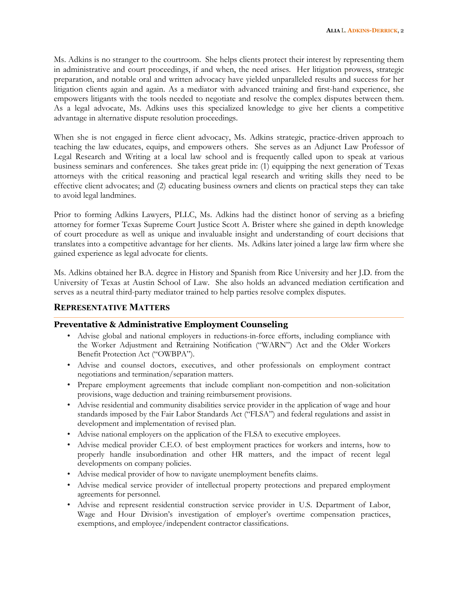Ms. Adkins is no stranger to the courtroom. She helps clients protect their interest by representing them in administrative and court proceedings, if and when, the need arises. Her litigation prowess, strategic preparation, and notable oral and written advocacy have yielded unparalleled results and success for her litigation clients again and again. As a mediator with advanced training and first-hand experience, she empowers litigants with the tools needed to negotiate and resolve the complex disputes between them. As a legal advocate, Ms. Adkins uses this specialized knowledge to give her clients a competitive advantage in alternative dispute resolution proceedings.

When she is not engaged in fierce client advocacy, Ms. Adkins strategic, practice-driven approach to teaching the law educates, equips, and empowers others. She serves as an Adjunct Law Professor of Legal Research and Writing at a local law school and is frequently called upon to speak at various business seminars and conferences. She takes great pride in: (1) equipping the next generation of Texas attorneys with the critical reasoning and practical legal research and writing skills they need to be effective client advocates; and (2) educating business owners and clients on practical steps they can take to avoid legal landmines.

Prior to forming Adkins Lawyers, PLLC, Ms. Adkins had the distinct honor of serving as a briefing attorney for former Texas Supreme Court Justice Scott A. Brister where she gained in depth knowledge of court procedure as well as unique and invaluable insight and understanding of court decisions that translates into a competitive advantage for her clients. Ms. Adkins later joined a large law firm where she gained experience as legal advocate for clients.

Ms. Adkins obtained her B.A. degree in History and Spanish from Rice University and her J.D. from the University of Texas at Austin School of Law. She also holds an advanced mediation certification and serves as a neutral third-party mediator trained to help parties resolve complex disputes.

### **REPRESENTATIVE MATTERS**

### **Preventative & Administrative Employment Counseling**

- Advise global and national employers in reductions-in-force efforts, including compliance with the Worker Adjustment and Retraining Notification ("WARN") Act and the Older Workers Benefit Protection Act ("OWBPA").
- Advise and counsel doctors, executives, and other professionals on employment contract negotiations and termination/separation matters.
- Prepare employment agreements that include compliant non-competition and non-solicitation provisions, wage deduction and training reimbursement provisions.
- Advise residential and community disabilities service provider in the application of wage and hour standards imposed by the Fair Labor Standards Act ("FLSA") and federal regulations and assist in development and implementation of revised plan.
- Advise national employers on the application of the FLSA to executive employees.
- Advise medical provider C.E.O. of best employment practices for workers and interns, how to properly handle insubordination and other HR matters, and the impact of recent legal developments on company policies.
- Advise medical provider of how to navigate unemployment benefits claims.
- Advise medical service provider of intellectual property protections and prepared employment agreements for personnel.
- Advise and represent residential construction service provider in U.S. Department of Labor, Wage and Hour Division's investigation of employer's overtime compensation practices, exemptions, and employee/independent contractor classifications.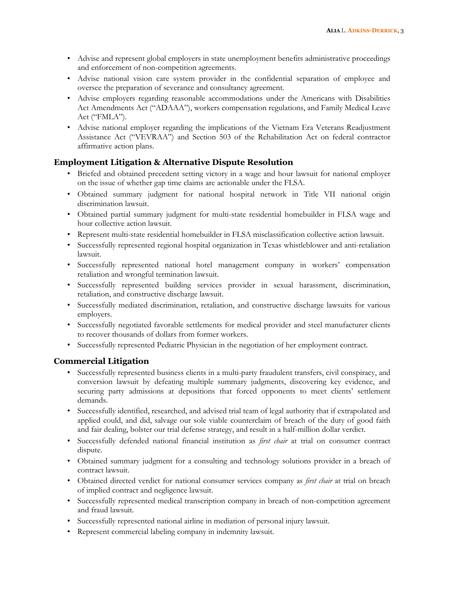- Advise and represent global employers in state unemployment benefits administrative proceedings and enforcement of non-competition agreements.
- Advise national vision care system provider in the confidential separation of employee and oversee the preparation of severance and consultancy agreement.
- Advise employers regarding reasonable accommodations under the Americans with Disabilities Act Amendments Act ("ADAAA"), workers compensation regulations, and Family Medical Leave Act ("FMLA").
- Advise national employer regarding the implications of the Vietnam Era Veterans Readjustment Assistance Act ("VEVRAA") and Section 503 of the Rehabilitation Act on federal contractor affirmative action plans.

# **Employment Litigation & Alternative Dispute Resolution**

- Briefed and obtained precedent setting victory in a wage and hour lawsuit for national employer on the issue of whether gap time claims are actionable under the FLSA.
- Obtained summary judgment for national hospital network in Title VII national origin discrimination lawsuit.
- Obtained partial summary judgment for multi-state residential homebuilder in FLSA wage and hour collective action lawsuit.
- Represent multi-state residential homebuilder in FLSA misclassification collective action lawsuit.
- Successfully represented regional hospital organization in Texas whistleblower and anti-retaliation lawsuit.
- Successfully represented national hotel management company in workers' compensation retaliation and wrongful termination lawsuit.
- Successfully represented building services provider in sexual harassment, discrimination, retaliation, and constructive discharge lawsuit.
- Successfully mediated discrimination, retaliation, and constructive discharge lawsuits for various employers.
- Successfully negotiated favorable settlements for medical provider and steel manufacturer clients to recover thousands of dollars from former workers.
- Successfully represented Pediatric Physician in the negotiation of her employment contract.

# **Commercial Litigation**

- Successfully represented business clients in a multi-party fraudulent transfers, civil conspiracy, and conversion lawsuit by defeating multiple summary judgments, discovering key evidence, and securing party admissions at depositions that forced opponents to meet clients' settlement demands.
- Successfully identified, researched, and advised trial team of legal authority that if extrapolated and applied could, and did, salvage our sole viable counterclaim of breach of the duty of good faith and fair dealing, bolster our trial defense strategy, and result in a half-million dollar verdict.
- Successfully defended national financial institution as *first chair* at trial on consumer contract dispute.
- Obtained summary judgment for a consulting and technology solutions provider in a breach of contract lawsuit.
- Obtained directed verdict for national consumer services company as *first chair* at trial on breach of implied contract and negligence lawsuit.
- Successfully represented medical transcription company in breach of non-competition agreement and fraud lawsuit.
- Successfully represented national airline in mediation of personal injury lawsuit.
- Represent commercial labeling company in indemnity lawsuit.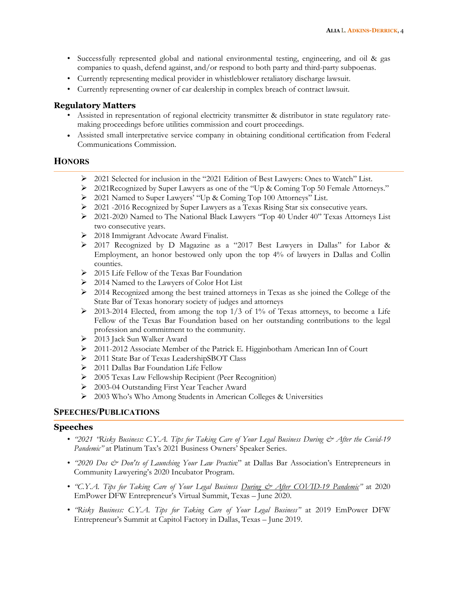- Successfully represented global and national environmental testing, engineering, and oil & gas companies to quash, defend against, and/or respond to both party and third-party subpoenas.
- Currently representing medical provider in whistleblower retaliatory discharge lawsuit.
- Currently representing owner of car dealership in complex breach of contract lawsuit.

### **Regulatory Matters**

- Assisted in representation of regional electricity transmitter & distributor in state regulatory ratemaking proceedings before utilities commission and court proceedings.
- Assisted small interpretative service company in obtaining conditional certification from Federal Communications Commission.

### **HONORS**

- 2021 Selected for inclusion in the "2021 Edition of Best Lawyers: Ones to Watch" List.
- 2021Recognized by Super Lawyers as one of the "Up & Coming Top 50 Female Attorneys."
- 2021 Named to Super Lawyers' "Up & Coming Top 100 Attorneys" List.
- $\geq 2021$  -2016 Recognized by Super Lawyers as a Texas Rising Star six consecutive years.
- 2021-2020 Named to The National Black Lawyers "Top 40 Under 40" Texas Attorneys List two consecutive years.
- 2018 Immigrant Advocate Award Finalist.
- 2017 Recognized by D Magazine as a "2017 Best Lawyers in Dallas" for Labor & Employment, an honor bestowed only upon the top 4% of lawyers in Dallas and Collin counties.
- 2015 Life Fellow of the Texas Bar Foundation
- $\geq 2014$  Named to the Lawyers of Color Hot List
- $\geq$  2014 Recognized among the best trained attorneys in Texas as she joined the College of the State Bar of Texas honorary society of judges and attorneys
- $\geq$  2013-2014 Elected, from among the top 1/3 of 1% of Texas attorneys, to become a Life Fellow of the Texas Bar Foundation based on her outstanding contributions to the legal profession and commitment to the community.
- 2013 Jack Sun Walker Award
- 2011-2012 Associate Member of the Patrick E. Higginbotham American Inn of Court
- 2011 State Bar of Texas LeadershipSBOT Class
- > 2011 Dallas Bar Foundation Life Fellow
- 2005 Texas Law Fellowship Recipient (Peer Recognition)
- 2003-04 Outstanding First Year Teacher Award
- 2003 Who's Who Among Students in American Colleges & Universities

## **SPEECHES/PUBLICATIONS**

### **Speeches**

- *"2021 "Risky Business: C.Y.A. Tips for Taking Care of Your Legal Business During & After the Covid-19 Pandemic"* at Platinum Tax's 2021 Business Owners' Speaker Series.
- *"2020 Dos & Don'ts of Launching Your Law Practice"* at Dallas Bar Association's Entrepreneurs in Community Lawyering's 2020 Incubator Program.
- *"C.Y.A. Tips for Taking Care of Your Legal Business <u>During & After COVID-19 Pandemic</u>" at 2020* EmPower DFW Entrepreneur's Virtual Summit, Texas – June 2020.
- *"Risky Business: C.Y.A. Tips for Taking Care of Your Legal Business"* at 2019 EmPower DFW Entrepreneur's Summit at Capitol Factory in Dallas, Texas – June 2019.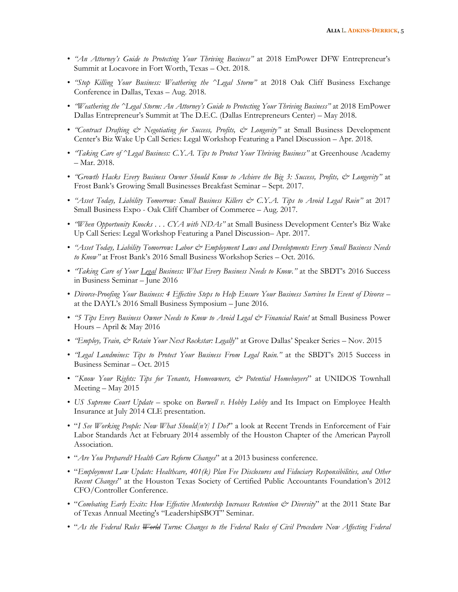- *"An Attorney's Guide to Protecting Your Thriving Business"* at 2018 EmPower DFW Entrepreneur's Summit at Locavore in Fort Worth, Texas – Oct. 2018.
- *"Stop Killing Your Business: Weathering the ^Legal Storm"* at 2018 Oak Cliff Business Exchange Conference in Dallas, Texas – Aug. 2018.
- *"Weathering the ^Legal Storm: An Attorney's Guide to Protecting Your Thriving Business"* at 2018 EmPower Dallas Entrepreneur's Summit at The D.E.C. (Dallas Entrepreneurs Center) – May 2018.
- *"Contract Drafting & Negotiating for Success, Profits, & Longevity"* at Small Business Development Center's Biz Wake Up Call Series: Legal Workshop Featuring a Panel Discussion – Apr. 2018.
- *"Taking Care of ^Legal Business: C.Y.A. Tips to Protect Your Thriving Business"* at Greenhouse Academy – Mar. 2018.
- *"Growth Hacks Every Business Owner Should Know to Achieve the Big 3: Success, Profits, & Longevity"* at Frost Bank's Growing Small Businesses Breakfast Seminar – Sept. 2017.
- *"Asset Today, Liability Tomorrow: Small Business Killers & C.Y.A. Tips to Avoid Legal Ruin"* at 2017 Small Business Expo - Oak Cliff Chamber of Commerce – Aug. 2017.
- *"When Opportunity Knocks . . . CYA with NDAs"* at Small Business Development Center's Biz Wake Up Call Series: Legal Workshop Featuring a Panel Discussion– Apr. 2017.
- *"Asset Today, Liability Tomorrow: Labor & Employment Laws and Developments Every Small Business Needs to Know"* at Frost Bank's 2016 Small Business Workshop Series – Oct. 2016.
- *"Taking Care of Your Legal Business: What Every Business Needs to Know."* at the SBDT's 2016 Success in Business Seminar – June 2016
- *Divorce-Proofing Your Business: 4 Effective Steps to Help Ensure Your Business Survives In Event of Divorce* at the DAYL's 2016 Small Business Symposium – June 2016.
- *"5 Tips Every Business Owner Needs to Know to Avoid Legal & Financial Ruin!* at Small Business Power Hours – April & May 2016
- *"Employ, Train, & Retain Your Next Rockstar: Legally*" at Grove Dallas' Speaker Series Nov. 2015
- *"Legal Landmines: Tips to Protect Your Business From Legal Ruin."* at the SBDT's 2015 Success in Business Seminar – Oct. 2015
- *"Know Your Rights: Tips for Tenants, Homeowners, & Potential Homebuyers*" at UNIDOS Townhall Meeting – May 2015
- *US Supreme Court Update*  spoke on *Burwell v. Hobby Lobby* and Its Impact on Employee Health Insurance at July 2014 CLE presentation.
- "*I See Working People: Now What Should[n't] I Do?*" a look at Recent Trends in Enforcement of Fair Labor Standards Act at February 2014 assembly of the Houston Chapter of the American Payroll Association.
- "*Are You Prepared? Health Care Reform Changes*" at a 2013 business conference.
- "*Employment Law Update: Healthcare, 401(k) Plan Fee Disclosures and Fiduciary Responsibilities, and Other Recent Changes*" at the Houston Texas Society of Certified Public Accountants Foundation's 2012 CFO/Controller Conference.
- "Combating Early Exits: How Effective Mentorship Increases Retention & Diversity" at the 2011 State Bar of Texas Annual Meeting's "LeadershipSBOT" Seminar.
- "*As the Federal Rules World Turns: Changes to the Federal Rules of Civil Procedure Now Affecting Federal*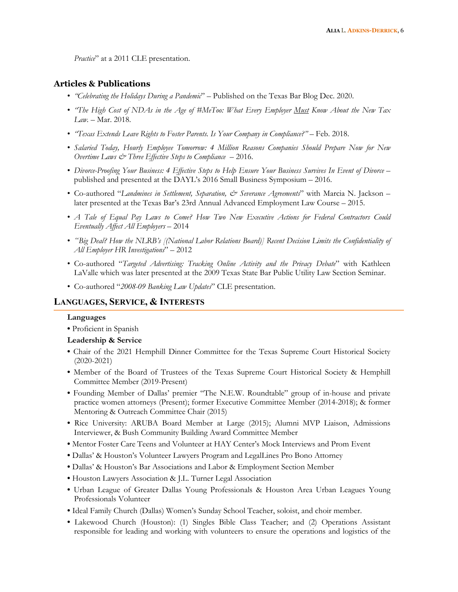*Practice*" at a 2011 CLE presentation.

### **Articles & Publications**

- *"Celebrating the Holidays During a Pandemic*" Published on the Texas Bar Blog Dec. 2020.
- *"The High Cost of NDAs in the Age of #MeToo: What Every Employer Must Know About the New Tax Law.* – Mar. 2018.
- *"Texas Extends Leave Rights to Foster Parents. Is Your Company in Compliance?"* Feb. 2018.
- *Salaried Today, Hourly Employee Tomorrow: 4 Million Reasons Companies Should Prepare Now for New Overtime Laws & Three Effective Steps to Compliance* – 2016.
- *Divorce-Proofing Your Business: 4 Effective Steps to Help Ensure Your Business Survives In Event of Divorce* published and presented at the DAYL's 2016 Small Business Symposium – 2016.
- Co-authored "*Landmines in Settlement, Separation, & Severance Agreements*" with Marcia N. Jackson later presented at the Texas Bar's 23rd Annual Advanced Employment Law Course – 2015.
- *A Tale of Equal Pay Laws to Come? How Two New Executive Actions for Federal Contractors Could Eventually Affect All Employers* – 2014
- *"Big Deal? How the NLRB's [(National Labor Relations Board)] Recent Decision Limits the Confidentiality of All Employer HR Investigations*" – 2012
- Co-authored "*Targeted Advertising: Tracking Online Activity and the Privacy Debate*" with Kathleen LaValle which was later presented at the 2009 Texas State Bar Public Utility Law Section Seminar.
- Co-authored "*2008-09 Banking Law Updates*" CLE presentation.

### **LANGUAGES, SERVICE, & INTERESTS**

#### **Languages**

**•** Proficient in Spanish

#### **Leadership & Service**

- **•** Chair of the 2021 Hemphill Dinner Committee for the Texas Supreme Court Historical Society (2020-2021)
- **•** Member of the Board of Trustees of the Texas Supreme Court Historical Society & Hemphill Committee Member (2019-Present)
- **•** Founding Member of Dallas' premier "The N.E.W. Roundtable" group of in-house and private practice women attorneys (Present); former Executive Committee Member (2014-2018); & former Mentoring & Outreach Committee Chair (2015)
- **•** Rice University: ARUBA Board Member at Large (2015); Alumni MVP Liaison, Admissions Interviewer, & Bush Community Building Award Committee Member
- **•** Mentor Foster Care Teens and Volunteer at HAY Center's Mock Interviews and Prom Event
- **•** Dallas' & Houston's Volunteer Lawyers Program and LegalLines Pro Bono Attorney
- **•** Dallas' & Houston's Bar Associations and Labor & Employment Section Member
- **•** Houston Lawyers Association & J.L. Turner Legal Association
- **•** Urban League of Greater Dallas Young Professionals & Houston Area Urban Leagues Young Professionals Volunteer
- **•** Ideal Family Church (Dallas) Women's Sunday School Teacher, soloist, and choir member.
- **•** Lakewood Church (Houston): (1) Singles Bible Class Teacher; and (2) Operations Assistant responsible for leading and working with volunteers to ensure the operations and logistics of the